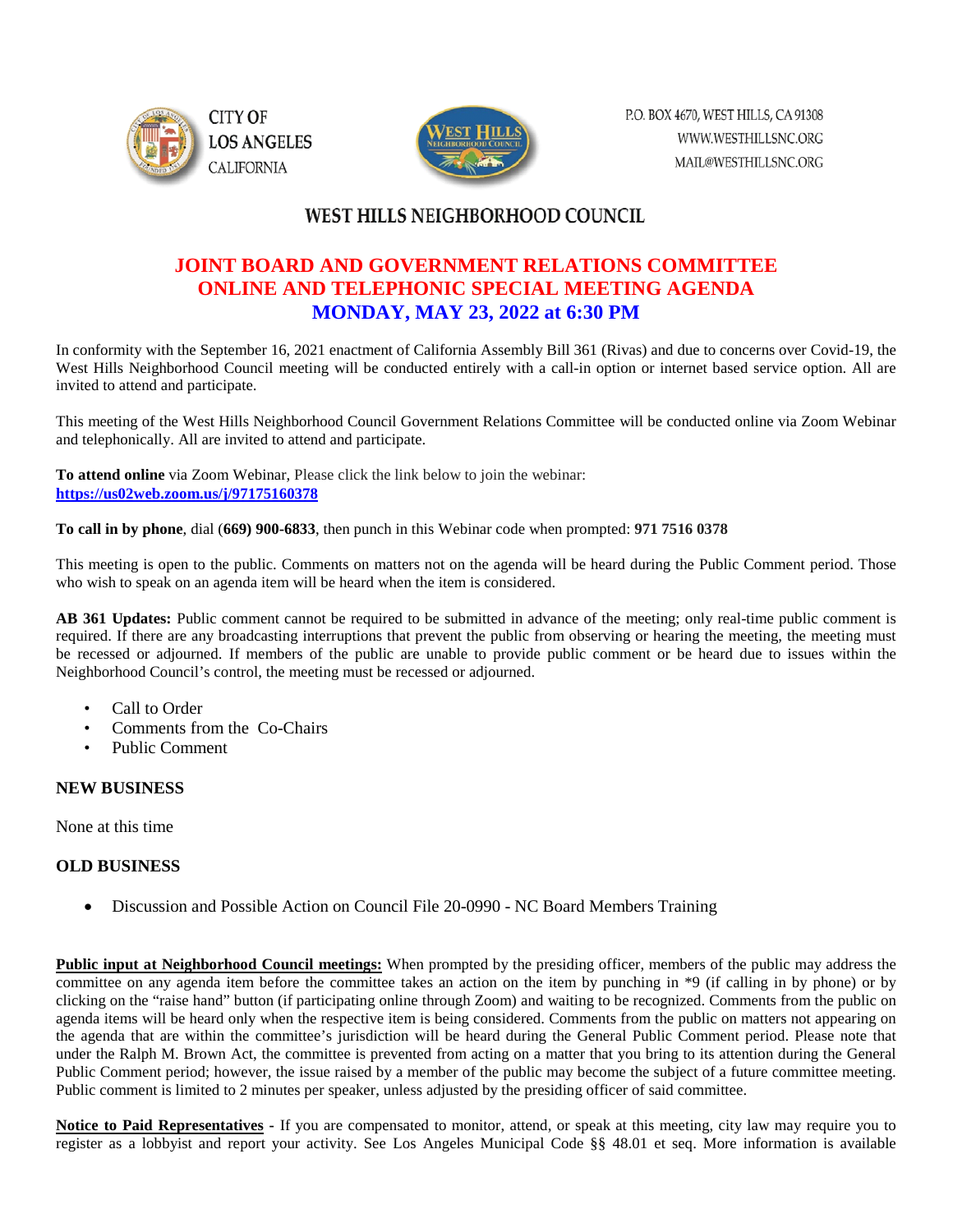



# WEST HILLS NEIGHBORHOOD COUNCIL

## **JOINT BOARD AND GOVERNMENT RELATIONS COMMITTEE ONLINE AND TELEPHONIC SPECIAL MEETING AGENDA MONDAY, MAY 23, 2022 at 6:30 PM**

In conformity with the September 16, 2021 enactment of California Assembly Bill 361 (Rivas) and due to concerns over Covid-19, the West Hills Neighborhood Council meeting will be conducted entirely with a call-in option or internet based service option. All are invited to attend and participate.

This meeting of the West Hills Neighborhood Council Government Relations Committee will be conducted online via Zoom Webinar and telephonically. All are invited to attend and participate.

**To attend online** via Zoom Webinar, Please click the link below to join the webinar: **<https://us02web.zoom.us/j/97175160378>**

**To call in by phone**, dial (**669) 900-6833**, then punch in this Webinar code when prompted: **971 7516 0378**

This meeting is open to the public. Comments on matters not on the agenda will be heard during the Public Comment period. Those who wish to speak on an agenda item will be heard when the item is considered.

**AB 361 Updates:** Public comment cannot be required to be submitted in advance of the meeting; only real-time public comment is required. If there are any broadcasting interruptions that prevent the public from observing or hearing the meeting, the meeting must be recessed or adjourned. If members of the public are unable to provide public comment or be heard due to issues within the Neighborhood Council's control, the meeting must be recessed or adjourned.

- Call to Order
- Comments from the Co-Chairs
- Public Comment

### **NEW BUSINESS**

None at this time

### **OLD BUSINESS**

• Discussion and Possible Action on Council File 20-0990 - NC Board Members Training

**Public input at Neighborhood Council meetings:** When prompted by the presiding officer, members of the public may address the committee on any agenda item before the committee takes an action on the item by punching in \*9 (if calling in by phone) or by clicking on the "raise hand" button (if participating online through Zoom) and waiting to be recognized. Comments from the public on agenda items will be heard only when the respective item is being considered. Comments from the public on matters not appearing on the agenda that are within the committee's jurisdiction will be heard during the General Public Comment period. Please note that under the Ralph M. Brown Act, the committee is prevented from acting on a matter that you bring to its attention during the General Public Comment period; however, the issue raised by a member of the public may become the subject of a future committee meeting. Public comment is limited to 2 minutes per speaker, unless adjusted by the presiding officer of said committee.

**Notice to Paid Representatives -** If you are compensated to monitor, attend, or speak at this meeting, city law may require you to register as a lobbyist and report your activity. See Los Angeles Municipal Code §§ 48.01 et seq. More information is available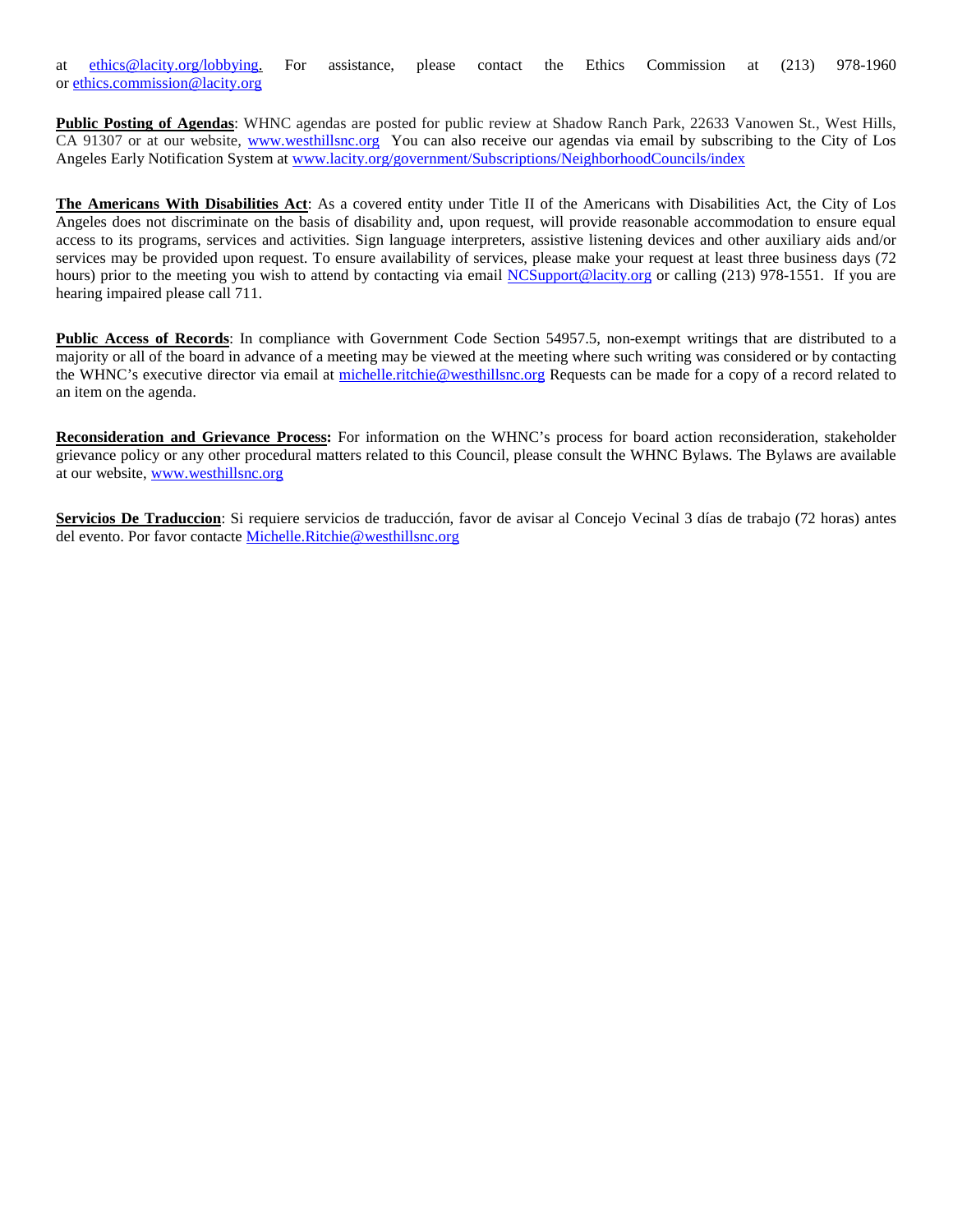at [ethics@lacity.org/lobbying.](mailto:) For assistance, please contact the Ethics Commission at (213) 978-1960 or [ethics.commission@lacity.org](mailto:)

**Public Posting of Agendas**: WHNC agendas are posted for public review at Shadow Ranch Park, 22633 Vanowen St., West Hills, CA 91307 or at our website, [www.westhillsnc.org](http://www.westhillsnc.org/) You can also receive our agendas via email by subscribing to the City of Los Angeles Early Notification System at [www.lacity.org/government/Subscriptions/NeighborhoodCouncils/index](http://www.lacity.org/government/Subscriptions/NeighborhoodCouncils/index)

**The Americans With Disabilities Act**: As a covered entity under Title II of the Americans with Disabilities Act, the City of Los Angeles does not discriminate on the basis of disability and, upon request, will provide reasonable accommodation to ensure equal access to its programs, services and activities. Sign language interpreters, assistive listening devices and other auxiliary aids and/or services may be provided upon request. To ensure availability of services, please make your request at least three business days (72 hours) prior to the meeting you wish to attend by contacting via email [NCSupport@lacity.org](mailto:NCSupport@lacity.org) or calling (213) 978-1551. If you are hearing impaired please call 711.

**Public Access of Records**: In compliance with Government Code Section 54957.5, non-exempt writings that are distributed to a majority or all of the board in advance of a meeting may be viewed at the meeting where such writing was considered or by contacting the WHNC's executive director via email at [michelle.ritchie@westhillsnc.org](mailto:michelle.ritchie@westhillsnc.org) Requests can be made for a copy of a record related to an item on the agenda.

**Reconsideration and Grievance Process:** For information on the WHNC's process for board action reconsideration, stakeholder grievance policy or any other procedural matters related to this Council, please consult the WHNC Bylaws. The Bylaws are available at our website, [www.westhillsnc.org](http://www.westhillsnc.org/)

**Servicios De Traduccion**: Si requiere servicios de traducción, favor de avisar al Concejo Vecinal 3 días de trabajo (72 horas) antes del evento. Por favor contacte [Michelle.Ritchie@westhillsnc.org](mailto:Michelle.Ritchie@westhillsnc.org)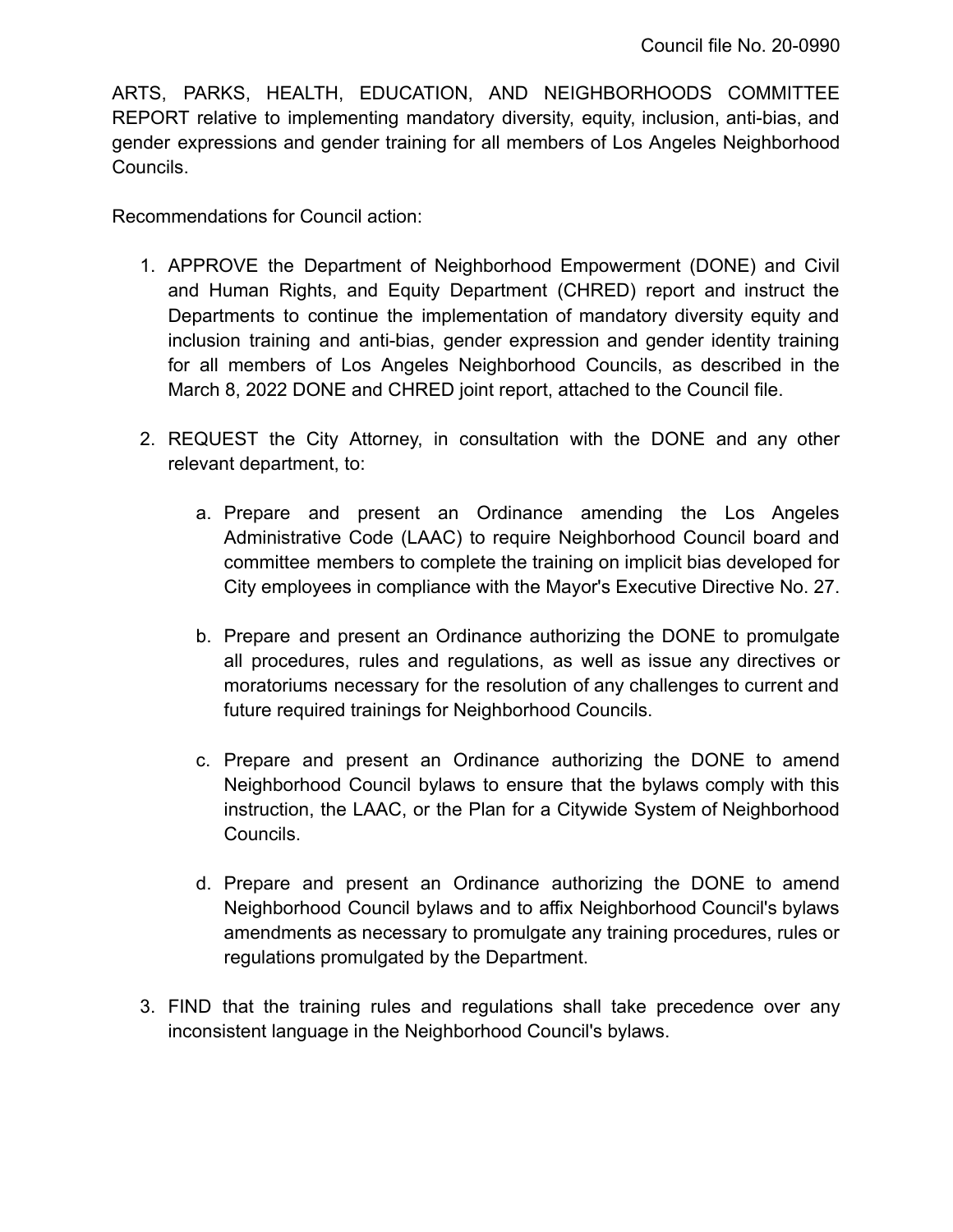ARTS, PARKS, HEALTH, EDUCATION, AND NEIGHBORHOODS COMMITTEE REPORT relative to implementing mandatory diversity, equity, inclusion, anti-bias, and gender expressions and gender training for all members of Los Angeles Neighborhood Councils.

Recommendations for Council action:

- 1. APPROVE the Department of Neighborhood Empowerment (DONE) and Civil and Human Rights, and Equity Department (CHRED) report and instruct the Departments to continue the implementation of mandatory diversity equity and inclusion training and anti-bias, gender expression and gender identity training for all members of Los Angeles Neighborhood Councils, as described in the March 8, 2022 DONE and CHRED joint report, attached to the Council file.
- 2. REQUEST the City Attorney, in consultation with the DONE and any other relevant department, to:
	- a. Prepare and present an Ordinance amending the Los Angeles Administrative Code (LAAC) to require Neighborhood Council board and committee members to complete the training on implicit bias developed for City employees in compliance with the Mayor's Executive Directive No. 27.
	- b. Prepare and present an Ordinance authorizing the DONE to promulgate all procedures, rules and regulations, as well as issue any directives or moratoriums necessary for the resolution of any challenges to current and future required trainings for Neighborhood Councils.
	- c. Prepare and present an Ordinance authorizing the DONE to amend Neighborhood Council bylaws to ensure that the bylaws comply with this instruction, the LAAC, or the Plan for a Citywide System of Neighborhood Councils.
	- d. Prepare and present an Ordinance authorizing the DONE to amend Neighborhood Council bylaws and to affix Neighborhood Council's bylaws amendments as necessary to promulgate any training procedures, rules or regulations promulgated by the Department.
- 3. FIND that the training rules and regulations shall take precedence over any inconsistent language in the Neighborhood Council's bylaws.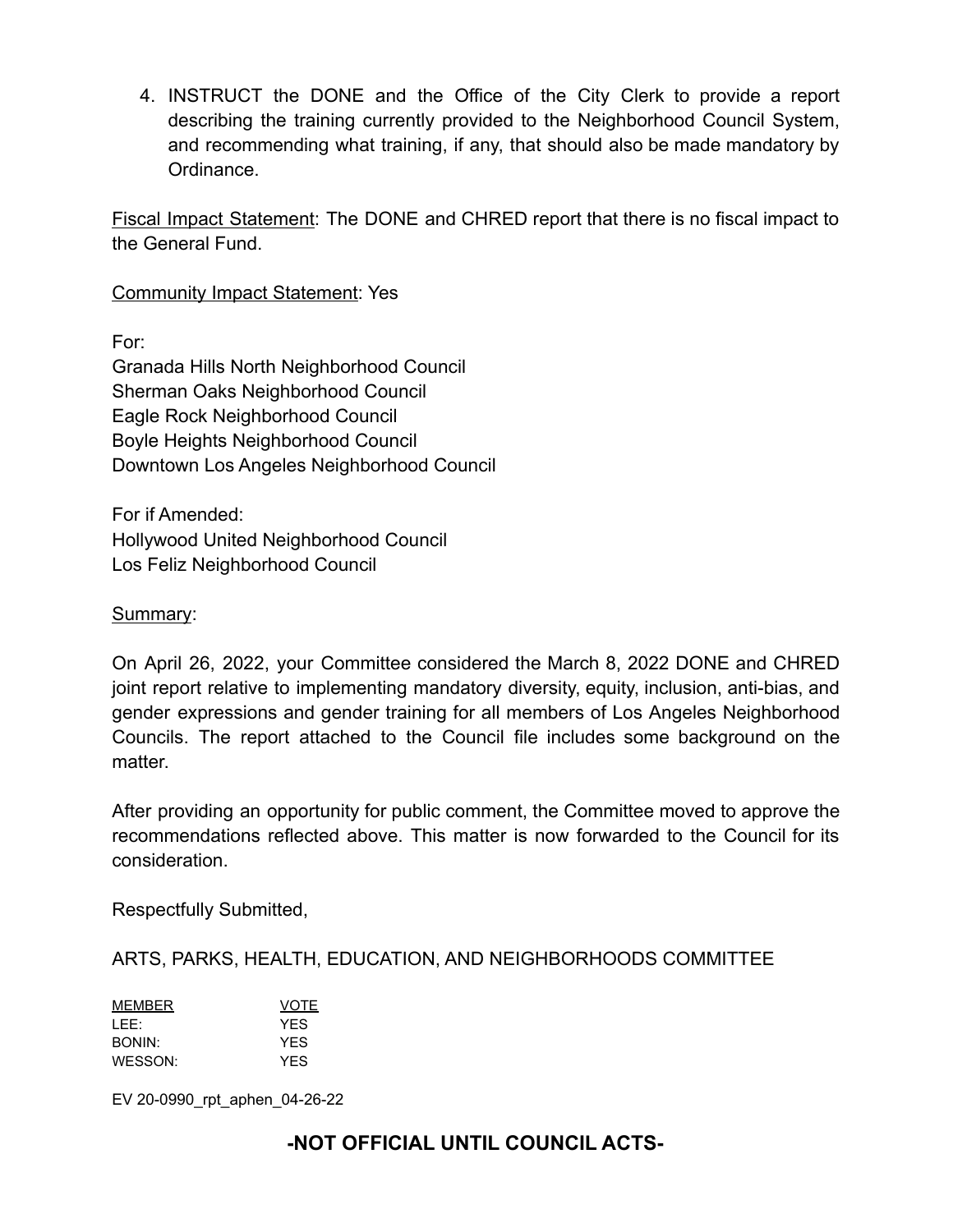4. INSTRUCT the DONE and the Office of the City Clerk to provide a report describing the training currently provided to the Neighborhood Council System, and recommending what training, if any, that should also be made mandatory by Ordinance.

Fiscal Impact Statement: The DONE and CHRED report that there is no fiscal impact to the General Fund.

Community Impact Statement: Yes

For:

Granada Hills North Neighborhood Council Sherman Oaks Neighborhood Council Eagle Rock Neighborhood Council Boyle Heights Neighborhood Council Downtown Los Angeles Neighborhood Council

For if Amended: Hollywood United Neighborhood Council Los Feliz Neighborhood Council

### Summary:

On April 26, 2022, your Committee considered the March 8, 2022 DONE and CHRED joint report relative to implementing mandatory diversity, equity, inclusion, anti-bias, and gender expressions and gender training for all members of Los Angeles Neighborhood Councils. The report attached to the Council file includes some background on the matter.

After providing an opportunity for public comment, the Committee moved to approve the recommendations reflected above. This matter is now forwarded to the Council for its consideration.

Respectfully Submitted,

ARTS, PARKS, HEALTH, EDUCATION, AND NEIGHBORHOODS COMMITTEE

| MEMBER  | <b>VOTE</b> |
|---------|-------------|
| LEE:    | <b>YFS</b>  |
| BONIN:  | <b>YFS</b>  |
| WFSSON: | <b>YFS</b>  |

EV 20-0990\_rpt\_aphen\_04-26-22

# **-NOT OFFICIAL UNTIL COUNCIL ACTS-**